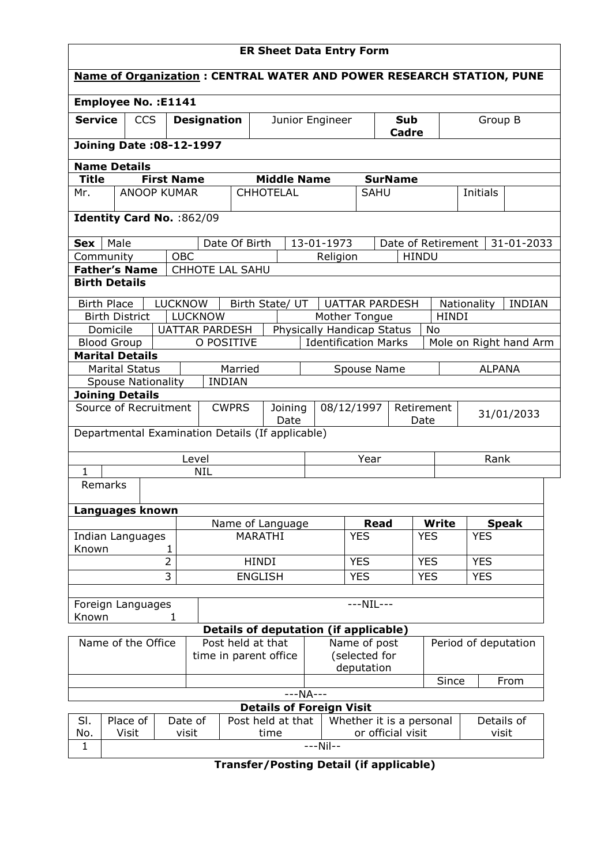| <b>ER Sheet Data Entry Form</b>                                             |                                                                                    |  |                |                                                  |                    |                 |  |               |                             |                    |                      |                              |  |
|-----------------------------------------------------------------------------|------------------------------------------------------------------------------------|--|----------------|--------------------------------------------------|--------------------|-----------------|--|---------------|-----------------------------|--------------------|----------------------|------------------------------|--|
| <b>Name of Organization: CENTRAL WATER AND POWER RESEARCH STATION, PUNE</b> |                                                                                    |  |                |                                                  |                    |                 |  |               |                             |                    |                      |                              |  |
| <b>Employee No.: E1141</b>                                                  |                                                                                    |  |                |                                                  |                    |                 |  |               |                             |                    |                      |                              |  |
|                                                                             | <b>Service</b><br><b>CCS</b><br><b>Designation</b>                                 |  |                |                                                  | Junior Engineer    |                 |  |               | Sub<br>Cadre                |                    | Group B              |                              |  |
|                                                                             | <b>Joining Date: 08-12-1997</b>                                                    |  |                |                                                  |                    |                 |  |               |                             |                    |                      |                              |  |
|                                                                             | <b>Name Details</b>                                                                |  |                |                                                  |                    |                 |  |               |                             |                    |                      |                              |  |
|                                                                             | <b>Title</b><br><b>First Name</b>                                                  |  |                |                                                  | <b>Middle Name</b> |                 |  |               | <b>SurName</b>              |                    |                      |                              |  |
| <b>ANOOP KUMAR</b><br>Mr.                                                   |                                                                                    |  |                |                                                  | <b>CHHOTELAL</b>   |                 |  | <b>SAHU</b>   |                             | Initials           |                      |                              |  |
| Identity Card No. : 862/09                                                  |                                                                                    |  |                |                                                  |                    |                 |  |               |                             |                    |                      |                              |  |
| Sex                                                                         | Male                                                                               |  |                | Date Of Birth                                    |                    |                 |  | 13-01-1973    |                             | Date of Retirement |                      | 31-01-2033                   |  |
|                                                                             | Community                                                                          |  | <b>OBC</b>     |                                                  |                    |                 |  | Religion      |                             | <b>HINDU</b>       |                      |                              |  |
|                                                                             | <b>Father's Name</b>                                                               |  |                | CHHOTE LAL SAHU                                  |                    |                 |  |               |                             |                    |                      |                              |  |
|                                                                             | <b>Birth Details</b>                                                               |  |                |                                                  |                    |                 |  |               |                             |                    |                      |                              |  |
|                                                                             | <b>Birth Place</b>                                                                 |  | <b>LUCKNOW</b> |                                                  |                    | Birth State/ UT |  |               | <b>UATTAR PARDESH</b>       |                    |                      | Nationality<br><b>INDIAN</b> |  |
|                                                                             | <b>Birth District</b>                                                              |  |                | <b>LUCKNOW</b>                                   |                    |                 |  |               | Mother Tongue               |                    | <b>HINDI</b>         |                              |  |
|                                                                             | Domicile                                                                           |  |                | <b>UATTAR PARDESH</b>                            |                    |                 |  |               | Physically Handicap Status  |                    | No                   |                              |  |
|                                                                             | <b>Blood Group</b>                                                                 |  |                | O POSITIVE                                       |                    |                 |  |               | <b>Identification Marks</b> |                    |                      | Mole on Right hand Arm       |  |
|                                                                             | <b>Marital Details</b>                                                             |  |                |                                                  |                    |                 |  |               |                             |                    |                      |                              |  |
|                                                                             | <b>Marital Status</b>                                                              |  |                | Married                                          |                    |                 |  |               | Spouse Name                 |                    |                      | <b>ALPANA</b>                |  |
|                                                                             | <b>Spouse Nationality</b>                                                          |  |                | <b>INDIAN</b>                                    |                    |                 |  |               |                             |                    |                      |                              |  |
| <b>Joining Details</b><br>Source of Recruitment                             |                                                                                    |  |                | <b>CWPRS</b>                                     | Joining<br>Date    |                 |  | 08/12/1997    |                             | Retirement<br>Date |                      | 31/01/2033                   |  |
|                                                                             |                                                                                    |  |                | Departmental Examination Details (If applicable) |                    |                 |  |               |                             |                    |                      |                              |  |
|                                                                             |                                                                                    |  |                | Level                                            |                    |                 |  |               | Year                        |                    |                      | Rank                         |  |
| 1                                                                           |                                                                                    |  |                | <b>NIL</b>                                       |                    |                 |  |               |                             |                    |                      |                              |  |
|                                                                             | Remarks                                                                            |  |                |                                                  |                    |                 |  |               |                             |                    |                      |                              |  |
|                                                                             |                                                                                    |  |                |                                                  |                    |                 |  |               |                             |                    |                      |                              |  |
|                                                                             | Languages known                                                                    |  |                |                                                  |                    |                 |  |               |                             |                    |                      |                              |  |
|                                                                             |                                                                                    |  |                |                                                  | Name of Language   |                 |  |               | <b>Read</b>                 |                    | <b>Write</b>         | <b>Speak</b>                 |  |
| Indian Languages                                                            |                                                                                    |  |                |                                                  | MARATHI            |                 |  |               | <b>YES</b>                  |                    | <b>YES</b>           | <b>YES</b>                   |  |
|                                                                             | Known<br>1<br>$\overline{2}$                                                       |  |                | <b>HINDI</b>                                     |                    |                 |  |               | <b>YES</b>                  |                    | <b>YES</b>           | <b>YES</b>                   |  |
|                                                                             |                                                                                    |  | $\overline{3}$ | <b>ENGLISH</b>                                   |                    |                 |  |               | <b>YES</b>                  |                    | <b>YES</b>           | <b>YES</b>                   |  |
|                                                                             |                                                                                    |  |                |                                                  |                    |                 |  |               |                             |                    |                      |                              |  |
| $---NIL---$<br>Foreign Languages                                            |                                                                                    |  |                |                                                  |                    |                 |  |               |                             |                    |                      |                              |  |
| Known<br>1                                                                  |                                                                                    |  |                |                                                  |                    |                 |  |               |                             |                    |                      |                              |  |
| <b>Details of deputation (if applicable)</b>                                |                                                                                    |  |                |                                                  |                    |                 |  |               |                             |                    |                      |                              |  |
| Name of the Office                                                          |                                                                                    |  |                | Post held at that                                |                    |                 |  | Name of post  |                             |                    | Period of deputation |                              |  |
|                                                                             |                                                                                    |  |                | time in parent office                            |                    |                 |  | (selected for |                             |                    |                      |                              |  |
|                                                                             |                                                                                    |  |                |                                                  |                    |                 |  |               | deputation                  |                    |                      |                              |  |
| From<br>Since<br>---NA---                                                   |                                                                                    |  |                |                                                  |                    |                 |  |               |                             |                    |                      |                              |  |
| <b>Details of Foreign Visit</b>                                             |                                                                                    |  |                |                                                  |                    |                 |  |               |                             |                    |                      |                              |  |
| SI.                                                                         | Post held at that<br>Details of<br>Whether it is a personal<br>Place of<br>Date of |  |                |                                                  |                    |                 |  |               |                             |                    |                      |                              |  |
| No.                                                                         | Visit                                                                              |  | visit          |                                                  |                    | time            |  |               |                             | or official visit  |                      | visit                        |  |
| $\mathbf{1}$                                                                | $---Nil--$                                                                         |  |                |                                                  |                    |                 |  |               |                             |                    |                      |                              |  |

Transfer/Posting Detail (if applicable)